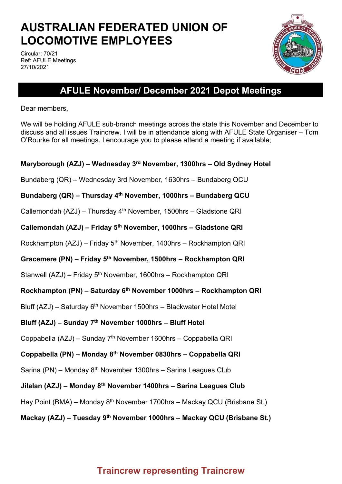# **AUSTRALIAN FEDERATED UNION OF LOCOMOTIVE EMPLOYEES**

Circular: 70/21 Ref: AFULE Meetings 27/10/2021



## **AFULE November/ December 2021 Depot Meetings**

Dear members,

We will be holding AFULE sub-branch meetings across the state this November and December to discuss and all issues Traincrew. I will be in attendance along with AFULE State Organiser – Tom O'Rourke for all meetings. I encourage you to please attend a meeting if available;

### **Maryborough (AZJ) – Wednesday 3rd November, 1300hrs – Old Sydney Hotel**

Bundaberg (QR) – Wednesday 3rd November, 1630hrs – Bundaberg QCU

**Bundaberg (QR) – Thursday 4th November, 1000hrs – Bundaberg QCU**

Callemondah (AZJ) – Thursday 4th November, 1500hrs – Gladstone QRI

**Callemondah (AZJ) – Friday 5th November, 1000hrs – Gladstone QRI**

Rockhampton (AZJ) – Friday 5<sup>th</sup> November, 1400hrs – Rockhampton QRI

**Gracemere (PN) – Friday 5th November, 1500hrs – Rockhampton QRI**

Stanwell (AZJ) – Friday 5<sup>th</sup> November, 1600hrs – Rockhampton QRI

### **Rockhampton (PN) – Saturday 6th November 1000hrs – Rockhampton QRI**

Bluff (AZJ) – Saturday  $6<sup>th</sup>$  November 1500hrs – Blackwater Hotel Motel

### **Bluff (AZJ) – Sunday 7th November 1000hrs – Bluff Hotel**

Coppabella (AZJ) – Sunday 7th November 1600hrs – Coppabella QRI

### **Coppabella (PN) – Monday 8th November 0830hrs – Coppabella QRI**

Sarina (PN) – Monday  $8<sup>th</sup>$  November 1300hrs – Sarina Leagues Club

**Jilalan (AZJ) – Monday 8th November 1400hrs – Sarina Leagues Club**

Hay Point (BMA) – Monday 8<sup>th</sup> November 1700hrs – Mackay QCU (Brisbane St.)

### **Mackay (AZJ) – Tuesday 9th November 1000hrs – Mackay QCU (Brisbane St.)**

### **Traincrew representing Traincrew**